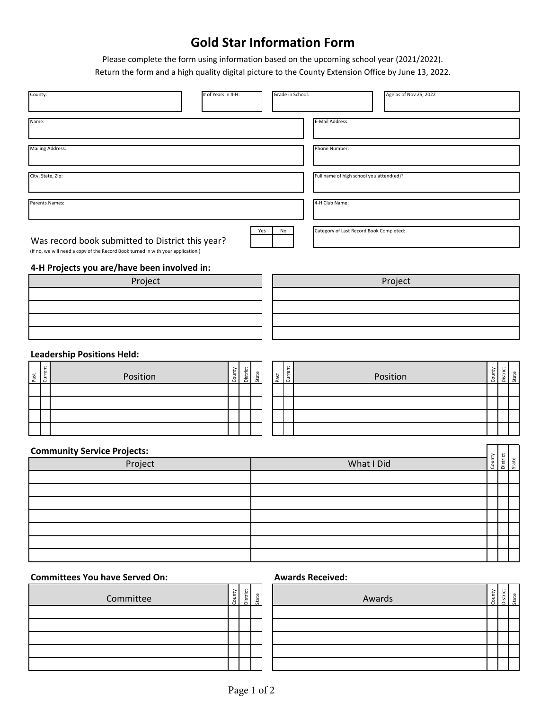## **Gold Star Information Form**

Please complete the form using information based on the upcoming school year (2021/2022). Return the form and a high quality digital picture to the County Extension Office by June 13, 2022.

| County:                                                                                                                              | # of Years in 4-H: | Grade in School:         |                                          | Age as of Nov 25, 2022 |        |                             |
|--------------------------------------------------------------------------------------------------------------------------------------|--------------------|--------------------------|------------------------------------------|------------------------|--------|-----------------------------|
|                                                                                                                                      |                    |                          |                                          |                        |        |                             |
| Name:                                                                                                                                |                    |                          | E-Mail Address:                          |                        |        |                             |
| <b>Mailing Address:</b>                                                                                                              |                    |                          | Phone Number:                            |                        |        |                             |
|                                                                                                                                      |                    |                          |                                          |                        |        |                             |
| City, State, Zip:                                                                                                                    |                    |                          | Full name of high school you attend(ed)? |                        |        |                             |
| Parents Names:                                                                                                                       |                    |                          | 4-H Club Name:                           |                        |        |                             |
| Was record book submitted to District this year?<br>(If no, we will need a copy of the Record Book turned in with your application.) |                    | Yes<br>No                | Category of Last Record Book Completed:  |                        |        |                             |
| 4-H Projects you are/have been involved in:                                                                                          |                    |                          |                                          |                        |        |                             |
| Project                                                                                                                              |                    |                          |                                          | Project                |        |                             |
|                                                                                                                                      |                    |                          |                                          |                        |        |                             |
|                                                                                                                                      |                    |                          |                                          |                        |        |                             |
|                                                                                                                                      |                    |                          |                                          |                        |        |                             |
|                                                                                                                                      |                    |                          |                                          |                        |        |                             |
| <b>Leadership Positions Held:</b>                                                                                                    |                    |                          |                                          |                        |        |                             |
| Current<br>tast<br>Position                                                                                                          | County<br>District | Past<br>Current<br>State |                                          | Position               | County | District<br><b>atate</b>    |
|                                                                                                                                      |                    |                          |                                          |                        |        |                             |
|                                                                                                                                      |                    |                          |                                          |                        |        |                             |
|                                                                                                                                      |                    |                          |                                          |                        |        |                             |
|                                                                                                                                      |                    |                          |                                          |                        |        |                             |
|                                                                                                                                      |                    |                          |                                          |                        |        |                             |
| <b>Community Service Projects:</b>                                                                                                   |                    |                          |                                          |                        |        | County<br>District<br>State |
| Project                                                                                                                              |                    |                          | What I Did                               |                        |        |                             |
|                                                                                                                                      |                    |                          |                                          |                        |        |                             |
|                                                                                                                                      |                    |                          |                                          |                        |        |                             |
|                                                                                                                                      |                    |                          |                                          |                        |        |                             |
|                                                                                                                                      |                    |                          |                                          |                        |        |                             |
|                                                                                                                                      |                    |                          |                                          |                        |        |                             |
|                                                                                                                                      |                    |                          |                                          |                        |        |                             |
|                                                                                                                                      |                    |                          |                                          |                        |        |                             |

## **Committees You have Served On: Awards Received:**

| Committee | ounty | Jistrict | State | Awards |
|-----------|-------|----------|-------|--------|
|           |       |          |       |        |
|           |       |          |       |        |
|           |       |          |       |        |
|           |       |          |       |        |
|           |       |          |       |        |

| Awards | County | District | State |
|--------|--------|----------|-------|
|        |        |          |       |
|        |        |          |       |
|        |        |          |       |
|        |        |          |       |
|        |        |          |       |